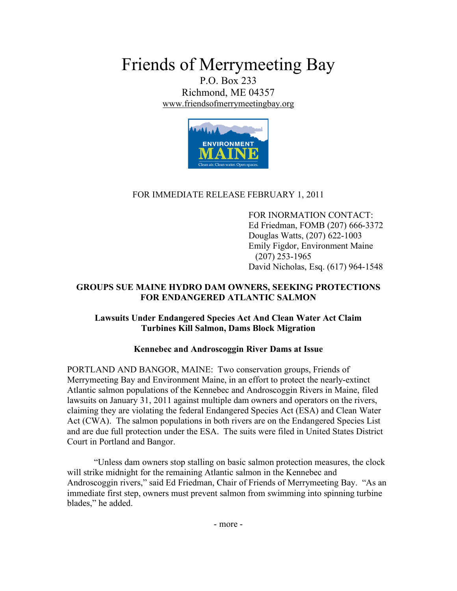Friends of Merrymeeting Bay

P.O. Box 233 Richmond, ME 04357 www.friendsofmerrymeetingbay.org



## FOR IMMEDIATE RELEASE FEBRUARY 1, 2011

FOR INORMATION CONTACT: Ed Friedman, FOMB (207) 666-3372 Douglas Watts, (207) 622-1003 Emily Figdor, Environment Maine (207) 253-1965 David Nicholas, Esq. (617) 964-1548

## **GROUPS SUE MAINE HYDRO DAM OWNERS, SEEKING PROTECTIONS FOR ENDANGERED ATLANTIC SALMON**

## **Lawsuits Under Endangered Species Act And Clean Water Act Claim Turbines Kill Salmon, Dams Block Migration**

## **Kennebec and Androscoggin River Dams at Issue**

PORTLAND AND BANGOR, MAINE: Two conservation groups, Friends of Merrymeeting Bay and Environment Maine, in an effort to protect the nearly-extinct Atlantic salmon populations of the Kennebec and Androscoggin Rivers in Maine, filed lawsuits on January 31, 2011 against multiple dam owners and operators on the rivers, claiming they are violating the federal Endangered Species Act (ESA) and Clean Water Act (CWA). The salmon populations in both rivers are on the Endangered Species List and are due full protection under the ESA. The suits were filed in United States District Court in Portland and Bangor.

"Unless dam owners stop stalling on basic salmon protection measures, the clock will strike midnight for the remaining Atlantic salmon in the Kennebec and Androscoggin rivers," said Ed Friedman, Chair of Friends of Merrymeeting Bay. "As an immediate first step, owners must prevent salmon from swimming into spinning turbine blades," he added.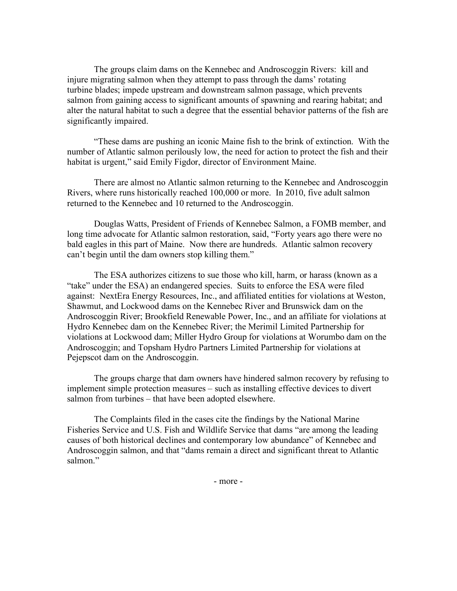The groups claim dams on the Kennebec and Androscoggin Rivers: kill and injure migrating salmon when they attempt to pass through the dams' rotating turbine blades; impede upstream and downstream salmon passage, which prevents salmon from gaining access to significant amounts of spawning and rearing habitat; and alter the natural habitat to such a degree that the essential behavior patterns of the fish are significantly impaired.

"These dams are pushing an iconic Maine fish to the brink of extinction. With the number of Atlantic salmon perilously low, the need for action to protect the fish and their habitat is urgent," said Emily Figdor, director of Environment Maine.

There are almost no Atlantic salmon returning to the Kennebec and Androscoggin Rivers, where runs historically reached 100,000 or more. In 2010, five adult salmon returned to the Kennebec and 10 returned to the Androscoggin.

Douglas Watts, President of Friends of Kennebec Salmon, a FOMB member, and long time advocate for Atlantic salmon restoration, said, "Forty years ago there were no bald eagles in this part of Maine. Now there are hundreds. Atlantic salmon recovery can't begin until the dam owners stop killing them."

The ESA authorizes citizens to sue those who kill, harm, or harass (known as a "take" under the ESA) an endangered species. Suits to enforce the ESA were filed against: NextEra Energy Resources, Inc., and affiliated entities for violations at Weston, Shawmut, and Lockwood dams on the Kennebec River and Brunswick dam on the Androscoggin River; Brookfield Renewable Power, Inc., and an affiliate for violations at Hydro Kennebec dam on the Kennebec River; the Merimil Limited Partnership for violations at Lockwood dam; Miller Hydro Group for violations at Worumbo dam on the Androscoggin; and Topsham Hydro Partners Limited Partnership for violations at Pejepscot dam on the Androscoggin.

The groups charge that dam owners have hindered salmon recovery by refusing to implement simple protection measures – such as installing effective devices to divert salmon from turbines – that have been adopted elsewhere.

The Complaints filed in the cases cite the findings by the National Marine Fisheries Service and U.S. Fish and Wildlife Service that dams "are among the leading causes of both historical declines and contemporary low abundance" of Kennebec and Androscoggin salmon, and that "dams remain a direct and significant threat to Atlantic salmon."

- more -